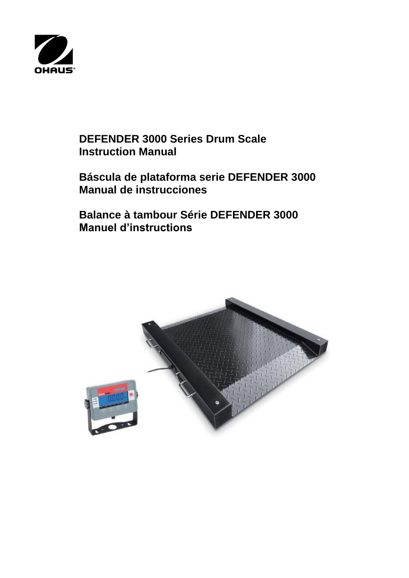

# **DEFENDER 3000 Series Drum Scale Instruction Manual**

# **Báscula de plataforma serie DEFENDER 3000 Manual de instrucciones**

**Balance à tambour Série DEFENDER 3000 Manuel d'instructions**

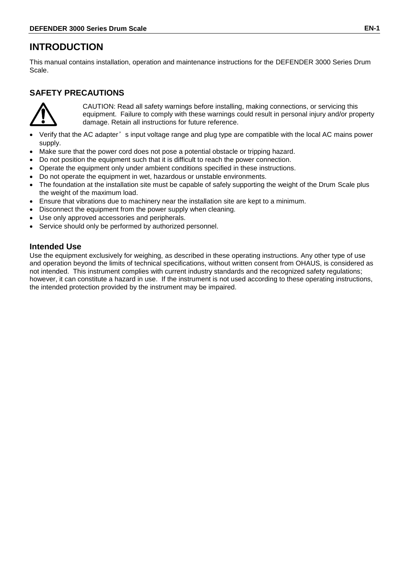# **INTRODUCTION**

This manual contains installation, operation and maintenance instructions for the DEFENDER 3000 Series Drum Scale.

# **SAFETY PRECAUTIONS**



CAUTION: Read all safety warnings before installing, making connections, or servicing this equipment. Failure to comply with these warnings could result in personal injury and/or property damage. Retain all instructions for future reference.

- Verify that the AC adapter's input voltage range and plug type are compatible with the local AC mains power supply.
- Make sure that the power cord does not pose a potential obstacle or tripping hazard.
- Do not position the equipment such that it is difficult to reach the power connection.
- Operate the equipment only under ambient conditions specified in these instructions.
- Do not operate the equipment in wet, hazardous or unstable environments.
- The foundation at the installation site must be capable of safely supporting the weight of the Drum Scale plus the weight of the maximum load.
- Ensure that vibrations due to machinery near the installation site are kept to a minimum.
- Disconnect the equipment from the power supply when cleaning.
- Use only approved accessories and peripherals.
- Service should only be performed by authorized personnel.

## **Intended Use**

Use the equipment exclusively for weighing, as described in these operating instructions. Any other type of use and operation beyond the limits of technical specifications, without written consent from OHAUS, is considered as not intended. This instrument complies with current industry standards and the recognized safety regulations; however, it can constitute a hazard in use. If the instrument is not used according to these operating instructions, the intended protection provided by the instrument may be impaired.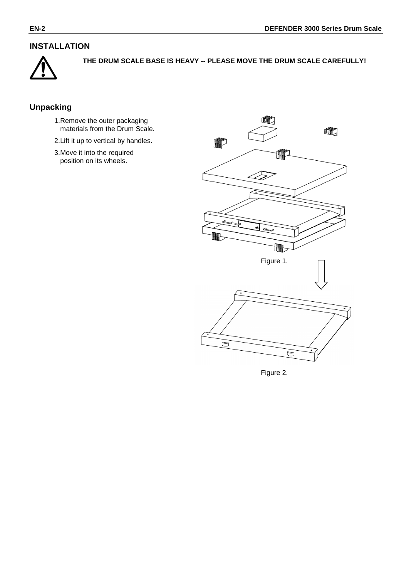# **INSTALLATION**



**THE DRUM SCALE BASE IS HEAVY -- PLEASE MOVE THE DRUM SCALE CAREFULLY!**

# **Unpacking**

- 1.Remove the outer packaging materials from the Drum Scale.
- 2.Lift it up to vertical by handles.
- 3.Move it into the required position on its wheels.



Figure 2.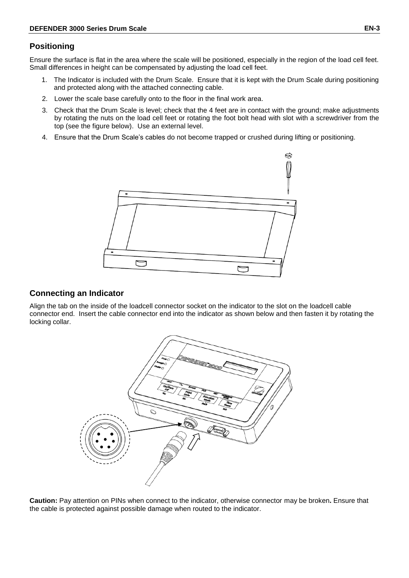### **Positioning**

Ensure the surface is flat in the area where the scale will be positioned, especially in the region of the load cell feet. Small differences in height can be compensated by adjusting the load cell feet.

- 1. The Indicator is included with the Drum Scale. Ensure that it is kept with the Drum Scale during positioning and protected along with the attached connecting cable.
- 2. Lower the scale base carefully onto to the floor in the final work area.
- 3. Check that the Drum Scale is level; check that the 4 feet are in contact with the ground; make adjustments by rotating the nuts on the load cell feet or rotating the foot bolt head with slot with a screwdriver from the top (see the figure below). Use an external level.
- 4. Ensure that the Drum Scale's cables do not become trapped or crushed during lifting or positioning.



### **Connecting an Indicator**

Align the tab on the inside of the loadcell connector socket on the indicator to the slot on the loadcell cable connector end. Insert the cable connector end into the indicator as shown below and then fasten it by rotating the locking collar.



**Caution:** Pay attention on PINs when connect to the indicator, otherwise connector may be broken**.** Ensure that the cable is protected against possible damage when routed to the indicator.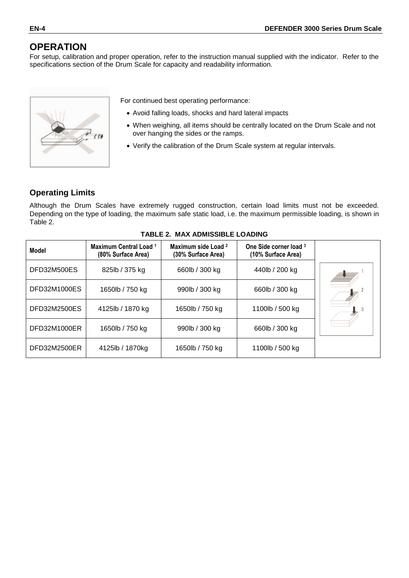# **OPERATION**

For setup, calibration and proper operation, refer to the instruction manual supplied with the indicator. Refer to the specifications section of the Drum Scale for capacity and readability information.



For continued best operating performance:

- Avoid falling loads, shocks and hard lateral impacts
- When weighing, all items should be centrally located on the Drum Scale and not over hanging the sides or the ramps.
- Verify the calibration of the Drum Scale system at regular intervals.

## **Operating Limits**

Although the Drum Scales have extremely rugged construction, certain load limits must not be exceeded. Depending on the type of loading, the maximum safe static load, i.e. the maximum permissible loading, is shown in Table 2.

| <b>Model</b>        | Maximum Central Load 1<br>(80% Surface Area) | Maximum side Load 2<br>(30% Surface Area) | One Side corner load 3<br>(10% Surface Area) |  |
|---------------------|----------------------------------------------|-------------------------------------------|----------------------------------------------|--|
| DFD32M500ES         | 825lb / 375 kg                               | 660lb / 300 kg                            | 440lb / 200 kg                               |  |
| <b>DFD32M1000ES</b> | 1650lb / 750 kg                              | 990lb / 300 kg                            | 660lb / 300 kg                               |  |
| DFD32M2500ES        | 4125lb / 1870 kg                             | 1650lb / 750 kg                           | 1100lb / 500 kg                              |  |
| DFD32M1000ER        | 1650lb / 750 kg                              | 990lb / 300 kg                            | 660lb / 300 kg                               |  |
| DFD32M2500ER        | 4125lb / 1870kg                              | 1650lb / 750 kg                           | 1100lb / 500 kg                              |  |

#### **TABLE 2. MAX ADMISSIBLE LOADING**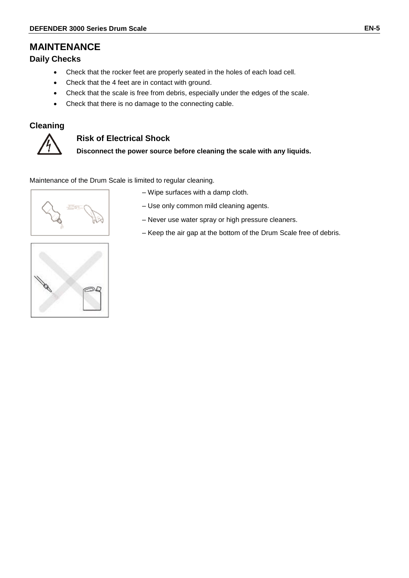# **MAINTENANCE**

### **Daily Checks**

- Check that the rocker feet are properly seated in the holes of each load cell.
- Check that the 4 feet are in contact with ground.
- Check that the scale is free from debris, especially under the edges of the scale.
- Check that there is no damage to the connecting cable.

## **Cleaning**



## **Risk of Electrical Shock**

**Disconnect the power source before cleaning the scale with any liquids.**

Maintenance of the Drum Scale is limited to regular cleaning.



– Wipe surfaces with a damp cloth.

- Use only common mild cleaning agents.
- Never use water spray or high pressure cleaners.
- Keep the air gap at the bottom of the Drum Scale free of debris.

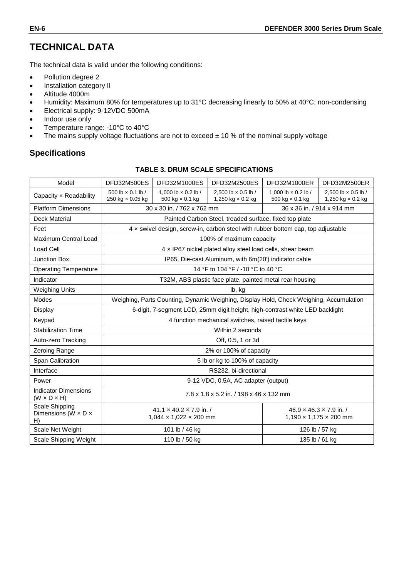# **TECHNICAL DATA**

The technical data is valid under the following conditions:

- Pollution degree 2
- Installation category II
- Altitude 4000m
- Humidity: Maximum 80% for temperatures up to 31°C decreasing linearly to 50% at 40°C; non-condensing
- Electrical supply: 9-12VDC 500mA
- Indoor use only
- Temperature range: -10°C to 40°C
- The mains supply voltage fluctuations are not to exceed  $\pm$  10 % of the nominal supply voltage

## **Specifications**

#### **TABLE 3. DRUM SCALE SPECIFICATIONS**

| Model                                                           | DFD32M500ES                                                                            | DFD32M1000ES                                                              | DFD32M2500ES                                              | DFD32M1000ER                                                                     | DFD32M2500ER                                                              |  |
|-----------------------------------------------------------------|----------------------------------------------------------------------------------------|---------------------------------------------------------------------------|-----------------------------------------------------------|----------------------------------------------------------------------------------|---------------------------------------------------------------------------|--|
| Capacity x Readability                                          | 500 lb $\times$ 0.1 lb /<br>250 kg × 0.05 kg                                           | 1.000 lb $\times$ 0.2 lb /<br>500 kg $\times$ 0.1 kg                      | 2.500 lb $\times$ 0.5 lb /<br>1,250 kg × 0.2 kg           | 1.000 lb $\times$ 0.2 lb /<br>500 kg $\times$ 0.1 kg                             | 2.500 lb × 0.5 lb /<br>1,250 kg × 0.2 kg                                  |  |
| <b>Platform Dimensions</b>                                      | 30 x 30 in. / 762 x 762 mm<br>36 x 36 in. / 914 x 914 mm                               |                                                                           |                                                           |                                                                                  |                                                                           |  |
| <b>Deck Material</b>                                            |                                                                                        |                                                                           | Painted Carbon Steel, treaded surface, fixed top plate    |                                                                                  |                                                                           |  |
| Feet                                                            |                                                                                        |                                                                           |                                                           | 4 x swivel design, screw-in, carbon steel with rubber bottom cap, top adjustable |                                                                           |  |
| Maximum Central Load                                            |                                                                                        |                                                                           | 100% of maximum capacity                                  |                                                                                  |                                                                           |  |
| Load Cell                                                       |                                                                                        |                                                                           | 4 x IP67 nickel plated alloy steel load cells, shear beam |                                                                                  |                                                                           |  |
| <b>Junction Box</b>                                             |                                                                                        |                                                                           | IP65, Die-cast Aluminum, with 6m(20') indicator cable     |                                                                                  |                                                                           |  |
| <b>Operating Temperature</b>                                    |                                                                                        |                                                                           | 14 °F to 104 °F / -10 °C to 40 °C                         |                                                                                  |                                                                           |  |
| Indicator                                                       |                                                                                        |                                                                           | T32M, ABS plastic face plate, painted metal rear housing  |                                                                                  |                                                                           |  |
| <b>Weighing Units</b>                                           |                                                                                        | lb, kg                                                                    |                                                           |                                                                                  |                                                                           |  |
| Modes                                                           | Weighing, Parts Counting, Dynamic Weighing, Display Hold, Check Weighing, Accumulation |                                                                           |                                                           |                                                                                  |                                                                           |  |
| Display                                                         | 6-digit, 7-segment LCD, 25mm digit height, high-contrast white LED backlight           |                                                                           |                                                           |                                                                                  |                                                                           |  |
| Keypad                                                          | 4 function mechanical switches, raised tactile keys                                    |                                                                           |                                                           |                                                                                  |                                                                           |  |
| <b>Stabilization Time</b>                                       | Within 2 seconds                                                                       |                                                                           |                                                           |                                                                                  |                                                                           |  |
| Auto-zero Tracking                                              | Off, 0.5, 1 or 3d                                                                      |                                                                           |                                                           |                                                                                  |                                                                           |  |
| Zeroing Range                                                   |                                                                                        |                                                                           | 2% or 100% of capacity                                    |                                                                                  |                                                                           |  |
| Span Calibration                                                |                                                                                        |                                                                           | 5 lb or kg to 100% of capacity                            |                                                                                  |                                                                           |  |
| Interface                                                       |                                                                                        |                                                                           | RS232, bi-directional                                     |                                                                                  |                                                                           |  |
| Power                                                           |                                                                                        |                                                                           | 9-12 VDC, 0.5A, AC adapter (output)                       |                                                                                  |                                                                           |  |
| <b>Indicator Dimensions</b><br>$(W \times D \times H)$          | 7.8 x 1.8 x 5.2 in. / 198 x 46 x 132 mm                                                |                                                                           |                                                           |                                                                                  |                                                                           |  |
| <b>Scale Shipping</b><br>Dimensions (W $\times$ D $\times$<br>H |                                                                                        | $41.1 \times 40.2 \times 7.9$ in. /<br>$1,044 \times 1,022 \times 200$ mm |                                                           |                                                                                  | $46.9 \times 46.3 \times 7.9$ in. /<br>$1,190 \times 1,175 \times 200$ mm |  |
| Scale Net Weight                                                |                                                                                        | 101 lb / 46 kg                                                            |                                                           |                                                                                  | 126 lb / 57 kg                                                            |  |
| Scale Shipping Weight                                           |                                                                                        | 110 lb / 50 kg                                                            |                                                           |                                                                                  | 135 lb / 61 kg                                                            |  |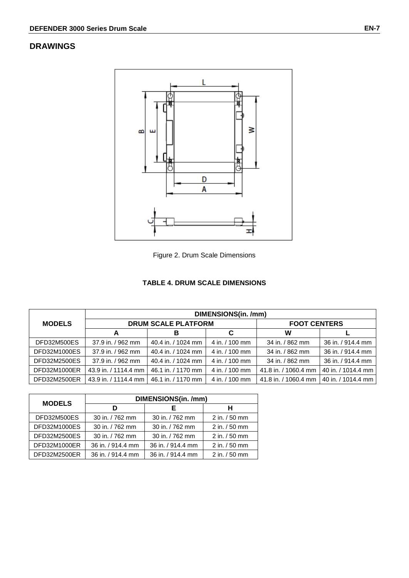# **DRAWINGS**



Figure 2. Drum Scale Dimensions

#### **TABLE 4. DRUM SCALE DIMENSIONS**

|               | DIMENSIONS(in. /mm)  |                            |                     |                      |                    |  |
|---------------|----------------------|----------------------------|---------------------|----------------------|--------------------|--|
| <b>MODELS</b> |                      | <b>DRUM SCALE PLATFORM</b> | <b>FOOT CENTERS</b> |                      |                    |  |
|               | A                    | в                          | С                   | W                    |                    |  |
| DFD32M500ES   | 37.9 in. / 962 mm    | 40.4 in. / 1024 mm         | 4 in. / 100 mm      | 34 in. / 862 mm      | 36 in. / 914.4 mm  |  |
| DFD32M1000ES  | 37.9 in. / 962 mm    | 40.4 in. / 1024 mm         | 4 in. / 100 mm      | 34 in. / 862 mm      | 36 in. / 914.4 mm  |  |
| DFD32M2500ES  | 37.9 in. / 962 mm    | 40.4 in. / 1024 mm         | 4 in. / 100 mm      | 34 in. / 862 mm      | 36 in. / 914.4 mm  |  |
| DFD32M1000ER  | 43.9 in. / 1114.4 mm | 46.1 in. / 1170 mm         | 4 in. / 100 mm      | 41.8 in. / 1060.4 mm | 40 in. / 1014.4 mm |  |
| DFD32M2500ER  | 43.9 in. / 1114.4 mm | 46.1 in. / 1170 mm         | 4 in. / 100 mm      | 41.8 in. / 1060.4 mm | 40 in. / 1014.4 mm |  |

| <b>MODELS</b> | DIMENSIONS(in. /mm) |                   |                  |  |  |  |
|---------------|---------------------|-------------------|------------------|--|--|--|
|               | D                   | Е                 | н                |  |  |  |
| DFD32M500ES   | 30 in. / 762 mm     | 30 in. / 762 mm   | 2 in. / 50 mm    |  |  |  |
| DFD32M1000ES  | 30 in. / 762 mm     | 30 in. / 762 mm   | 2 in. / 50 mm    |  |  |  |
| DFD32M2500ES  | 30 in. / 762 mm     | 30 in. / 762 mm   | 2 in. / 50 mm    |  |  |  |
| DFD32M1000ER  | 36 in. / 914.4 mm   | 36 in. / 914.4 mm | 2 in. / 50 mm    |  |  |  |
| DFD32M2500ER  | 36 in. / 914.4 mm   | 36 in. / 914.4 mm | $2$ in. $/50$ mm |  |  |  |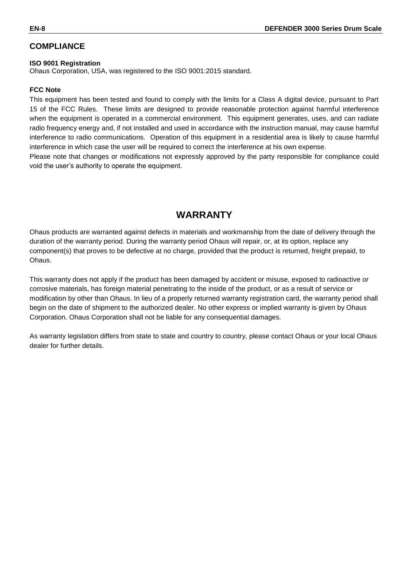## **COMPLIANCE**

#### **ISO 9001 Registration**

Ohaus Corporation, USA, was registered to the ISO 9001:2015 standard.

#### **FCC Note**

This equipment has been tested and found to comply with the limits for a Class A digital device, pursuant to Part 15 of the FCC Rules. These limits are designed to provide reasonable protection against harmful interference when the equipment is operated in a commercial environment. This equipment generates, uses, and can radiate radio frequency energy and, if not installed and used in accordance with the instruction manual, may cause harmful interference to radio communications. Operation of this equipment in a residential area is likely to cause harmful interference in which case the user will be required to correct the interference at his own expense.

Please note that changes or modifications not expressly approved by the party responsible for compliance could void the user's authority to operate the equipment.

# **WARRANTY**

Ohaus products are warranted against defects in materials and workmanship from the date of delivery through the duration of the warranty period. During the warranty period Ohaus will repair, or, at its option, replace any component(s) that proves to be defective at no charge, provided that the product is returned, freight prepaid, to Ohaus.

This warranty does not apply if the product has been damaged by accident or misuse, exposed to radioactive or corrosive materials, has foreign material penetrating to the inside of the product, or as a result of service or modification by other than Ohaus. In lieu of a properly returned warranty registration card, the warranty period shall begin on the date of shipment to the authorized dealer. No other express or implied warranty is given by Ohaus Corporation. Ohaus Corporation shall not be liable for any consequential damages.

As warranty legislation differs from state to state and country to country, please contact Ohaus or your local Ohaus dealer for further details.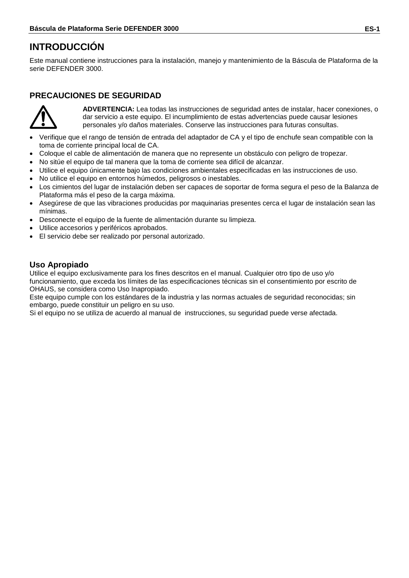# **INTRODUCCIÓN**

Este manual contiene instrucciones para la instalación, manejo y mantenimiento de la Báscula de Plataforma de la serie DEFENDER 3000.

# **PRECAUCIONES DE SEGURIDAD**



**ADVERTENCIA:** Lea todas las instrucciones de seguridad antes de instalar, hacer conexiones, o dar servicio a este equipo. El incumplimiento de estas advertencias puede causar lesiones personales y/o daños materiales. Conserve las instrucciones para futuras consultas.

- Verifique que el rango de tensión de entrada del adaptador de CA y el tipo de enchufe sean compatible con la toma de corriente principal local de CA.
- Coloque el cable de alimentación de manera que no represente un obstáculo con peligro de tropezar.
- No sitúe el equipo de tal manera que la toma de corriente sea difícil de alcanzar.
- Utilice el equipo únicamente bajo las condiciones ambientales especificadas en las instrucciones de uso.
- No utilice el equipo en entornos húmedos, peligrosos o inestables.
- Los cimientos del lugar de instalación deben ser capaces de soportar de forma segura el peso de la Balanza de Plataforma más el peso de la carga máxima.
- Asegúrese de que las vibraciones producidas por maquinarias presentes cerca el lugar de instalación sean las mínimas.
- Desconecte el equipo de la fuente de alimentación durante su limpieza.
- Utilice accesorios y periféricos aprobados.
- El servicio debe ser realizado por personal autorizado.

## **Uso Apropiado**

Utilice el equipo exclusivamente para los fines descritos en el manual. Cualquier otro tipo de uso y/o funcionamiento, que exceda los límites de las especificaciones técnicas sin el consentimiento por escrito de OHAUS, se considera como Uso Inapropiado.

Este equipo cumple con los estándares de la industria y las normas actuales de seguridad reconocidas; sin embargo, puede constituir un peligro en su uso.

Si el equipo no se utiliza de acuerdo al manual de instrucciones, su seguridad puede verse afectada.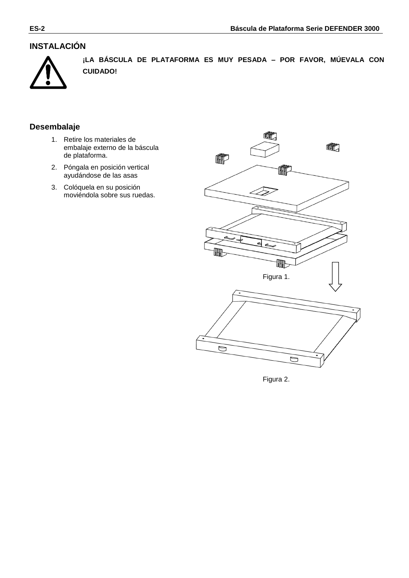# **INSTALACIÓN**



**¡LA BÁSCULA DE PLATAFORMA ES MUY PESADA – POR FAVOR, MÚEVALA CON CUIDADO!**

## **Desembalaje**

- 1. Retire los materiales de embalaje externo de la báscula de plataforma.
- 2. Póngala en posición vertical ayudándose de las asas
- 3. Colóquela en su posición moviéndola sobre sus ruedas.



Figura 2.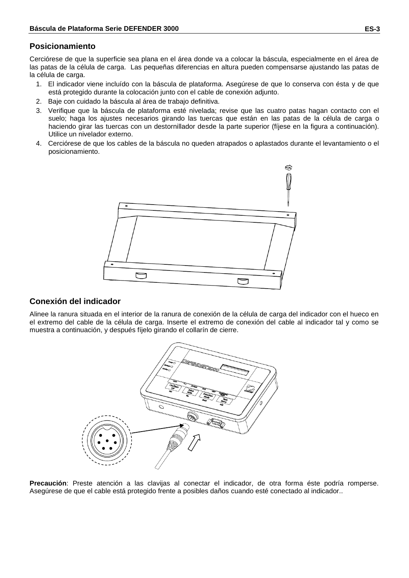### **Posicionamiento**

Cerciórese de que la superficie sea plana en el área donde va a colocar la báscula, especialmente en el área de las patas de la célula de carga. Las pequeñas diferencias en altura pueden compensarse ajustando las patas de la célula de carga.

- 1. El indicador viene incluído con la báscula de plataforma. Asegúrese de que lo conserva con ésta y de que está protegido durante la colocación junto con el cable de conexión adjunto.
- 2. Baje con cuidado la báscula al área de trabajo definitiva.
- 3. Verifique que la báscula de plataforma esté nivelada; revise que las cuatro patas hagan contacto con el suelo; haga los ajustes necesarios girando las tuercas que están en las patas de la célula de carga o haciendo girar las tuercas con un destornillador desde la parte superior (fíjese en la figura a continuación). Utilice un nivelador externo.
- 4. Cerciórese de que los cables de la báscula no queden atrapados o aplastados durante el levantamiento o el posicionamiento.



#### **Conexión del indicador**

Alinee la ranura situada en el interior de la ranura de conexión de la célula de carga del indicador con el hueco en el extremo del cable de la célula de carga. Inserte el extremo de conexión del cable al indicador tal y como se muestra a continuación, y después fíjelo girando el collarín de cierre.



**Precaución**: Preste atención a las clavijas al conectar el indicador, de otra forma éste podría romperse. Asegúrese de que el cable está protegido frente a posibles daños cuando esté conectado al indicador..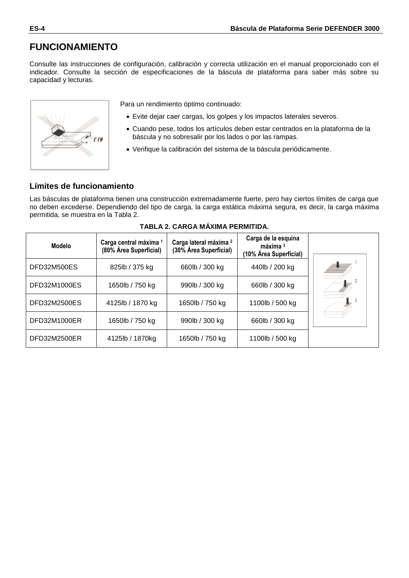# **FUNCIONAMIENTO**

Consulte las instrucciones de configuración, calibración y correcta utilización en el manual proporcionado con el indicador. Consulte la sección de especificaciones de la báscula de plataforma para saber más sobre su capacidad y lecturas.



Para un rendimiento óptimo continuado:

- Evite dejar caer cargas, los golpes y los impactos laterales severos.
- Cuando pese, todos los artículos deben estar centrados en la plataforma de la báscula y no sobresalir por los lados o por las rampas.
- Verifique la calibración del sistema de la báscula periódicamente.

## **Límites de funcionamiento**

Las básculas de plataforma tienen una construcción extremadamente fuerte, pero hay ciertos límites de carga que no deben excederse. Dependiendo del tipo de carga, la carga estática máxima segura, es decir, la carga máxima permitida, se muestra en la Tabla 2.

| <b>Modelo</b> | Carga central máxima 1<br>(80% Área Superficial) | Carga lateral máxima <sup>2</sup><br>(30% Área Superficial) | Carga de la esquina<br>$m\acute{a}x$ ima $3$<br>(10% Área Superficial) |  |
|---------------|--------------------------------------------------|-------------------------------------------------------------|------------------------------------------------------------------------|--|
| DFD32M500ES   | 825lb / 375 kg                                   | 660lb / 300 kg                                              | 440lb / 200 kg                                                         |  |
| DFD32M1000ES  | 1650lb / 750 kg                                  | 990lb / 300 kg                                              | 660lb / 300 kg                                                         |  |
| DFD32M2500ES  | 4125lb / 1870 kg                                 | 1650lb / 750 kg                                             | 1100lb / 500 kg                                                        |  |
| DFD32M1000ER  | 1650lb / 750 kg                                  | 990lb / 300 kg                                              | 660lb / 300 kg                                                         |  |
| DFD32M2500ER  | 4125lb / 1870kg                                  | 1650lb / 750 kg                                             | 1100lb / 500 kg                                                        |  |

#### **TABLA 2. CARGA MÁXIMA PERMITIDA.**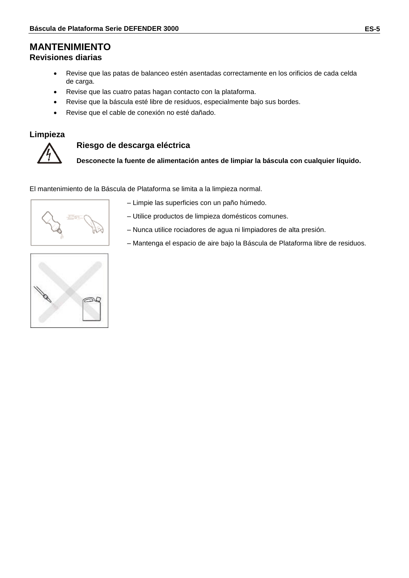# **MANTENIMIENTO**

# **Revisiones diarias**

- Revise que las patas de balanceo estén asentadas correctamente en los orificios de cada celda de carga.
- Revise que las cuatro patas hagan contacto con la plataforma.
- Revise que la báscula esté libre de residuos, especialmente bajo sus bordes.
- Revise que el cable de conexión no esté dañado.

#### **Limpieza**



#### **Riesgo de descarga eléctrica**

**Desconecte la fuente de alimentación antes de limpiar la báscula con cualquier líquido.** 

El mantenimiento de la Báscula de Plataforma se limita a la limpieza normal.

- Limpie las superficies con un paño húmedo.
- Utilice productos de limpieza domésticos comunes.
- Nunca utilice rociadores de agua ni limpiadores de alta presión.
- Mantenga el espacio de aire bajo la Báscula de Plataforma libre de residuos.

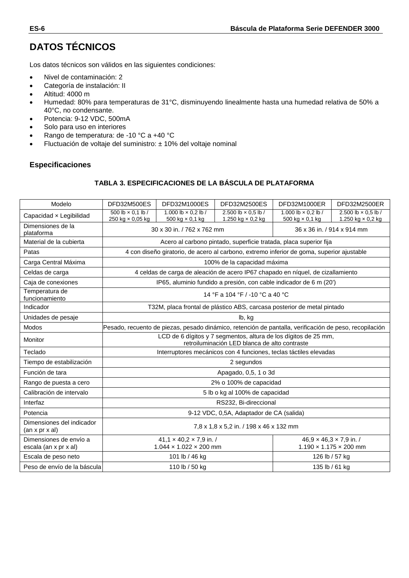# **DATOS TÉCNICOS**

Los datos técnicos son válidos en las siguientes condiciones:

- Nivel de contaminación: 2
- Categoría de instalación: II
- Altitud: 4000 m
- Humedad: 80% para temperaturas de 31°C, disminuyendo linealmente hasta una humedad relativa de 50% a 40°C, no condensante.
- Potencia: 9-12 VDC, 500mA
- Solo para uso en interiores
- Rango de temperatura: de -10 °C a +40 °C
- Fluctuación de voltaje del suministro: ± 10% del voltaje nominal

#### **Especificaciones**

#### **TABLA 3. ESPECIFICACIONES DE LA BÁSCULA DE PLATAFORMA**

| Modelo                                                  | DFD32M500ES                                                                                                      | DFD32M1000ES                                                              | DFD32M2500ES                                           | DFD32M1000ER                                                                              | DFD32M2500ER                                                              |  |
|---------------------------------------------------------|------------------------------------------------------------------------------------------------------------------|---------------------------------------------------------------------------|--------------------------------------------------------|-------------------------------------------------------------------------------------------|---------------------------------------------------------------------------|--|
| Capacidad x Legibilidad                                 | 500 lb $\times$ 0.1 lb /<br>250 kg × 0,05 kg                                                                     | 1.000 lb $\times$ 0.2 lb /<br>500 kg $\times$ 0,1 kg                      | 2.500 lb $\times$ 0.5 lb /<br>1.250 kg $\times$ 0,2 kg | 1.000 lb $\times$ 0.2 lb /<br>500 kg $\times$ 0,1 kg                                      | 2.500 lb × 0.5 lb /<br>1.250 kg $\times$ 0,2 kg                           |  |
| Dimensiones de la<br>plataforma                         | 36 x 36 in. / 914 x 914 mm<br>30 x 30 in. / 762 x 762 mm                                                         |                                                                           |                                                        |                                                                                           |                                                                           |  |
| Material de la cubierta                                 |                                                                                                                  |                                                                           |                                                        | Acero al carbono pintado, superficie tratada, placa superior fija                         |                                                                           |  |
| Patas                                                   |                                                                                                                  |                                                                           |                                                        | 4 con diseño giratorio, de acero al carbono, extremo inferior de goma, superior ajustable |                                                                           |  |
| Carga Central Máxima                                    |                                                                                                                  |                                                                           | 100% de la capacidad máxima                            |                                                                                           |                                                                           |  |
| Celdas de carga                                         |                                                                                                                  |                                                                           |                                                        | 4 celdas de carga de aleación de acero IP67 chapado en níquel, de cizallamiento           |                                                                           |  |
| Caja de conexiones                                      |                                                                                                                  |                                                                           |                                                        | IP65, aluminio fundido a presión, con cable indicador de 6 m (20')                        |                                                                           |  |
| Temperatura de<br>funcionamiento                        |                                                                                                                  |                                                                           | 14 °F a 104 °F / -10 °C a 40 °C                        |                                                                                           |                                                                           |  |
| Indicador                                               |                                                                                                                  |                                                                           |                                                        | T32M, placa frontal de plástico ABS, carcasa posterior de metal pintado                   |                                                                           |  |
| Unidades de pesaje                                      |                                                                                                                  | lb, kg                                                                    |                                                        |                                                                                           |                                                                           |  |
| Modos                                                   | Pesado, recuento de piezas, pesado dinámico, retención de pantalla, verificación de peso, recopilación           |                                                                           |                                                        |                                                                                           |                                                                           |  |
| Monitor                                                 | LCD de 6 dígitos y 7 segmentos, altura de los dígitos de 25 mm,<br>retroiluminación LED blanca de alto contraste |                                                                           |                                                        |                                                                                           |                                                                           |  |
| Teclado                                                 |                                                                                                                  |                                                                           |                                                        | Interruptores mecánicos con 4 funciones, teclas táctiles elevadas                         |                                                                           |  |
| Tiempo de estabilización                                |                                                                                                                  | 2 segundos                                                                |                                                        |                                                                                           |                                                                           |  |
| Función de tara                                         |                                                                                                                  |                                                                           | Apagado, 0,5, 1 o 3d                                   |                                                                                           |                                                                           |  |
| Rango de puesta a cero                                  |                                                                                                                  |                                                                           | 2% o 100% de capacidad                                 |                                                                                           |                                                                           |  |
| Calibración de intervalo                                |                                                                                                                  |                                                                           | 5 lb o kg al 100% de capacidad                         |                                                                                           |                                                                           |  |
| Interfaz                                                |                                                                                                                  |                                                                           | RS232, Bi-direccional                                  |                                                                                           |                                                                           |  |
| Potencia                                                |                                                                                                                  |                                                                           | 9-12 VDC, 0,5A, Adaptador de CA (salida)               |                                                                                           |                                                                           |  |
| Dimensiones del indicador<br>$(an \times pr \times al)$ | 7,8 x 1,8 x 5,2 in. / 198 x 46 x 132 mm                                                                          |                                                                           |                                                        |                                                                                           |                                                                           |  |
| Dimensiones de envío a<br>escala (an x pr x al)         |                                                                                                                  | $41,1 \times 40,2 \times 7,9$ in. /<br>$1.044 \times 1.022 \times 200$ mm |                                                        |                                                                                           | $46.9 \times 46.3 \times 7.9$ in. /<br>$1.190 \times 1.175 \times 200$ mm |  |
| Escala de peso neto                                     |                                                                                                                  | 101 lb / 46 kg                                                            |                                                        |                                                                                           | 126 lb / 57 kg                                                            |  |
| Peso de envío de la báscula                             |                                                                                                                  | 110 lb / 50 kg                                                            |                                                        |                                                                                           | 135 lb / 61 kg                                                            |  |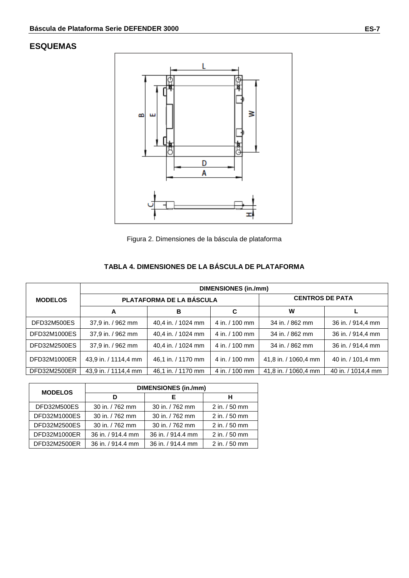# **ESQUEMAS**



Figura 2. Dimensiones de la báscula de plataforma

# **TABLA 4. DIMENSIONES DE LA BÁSCULA DE PLATAFORMA**

|                | <b>DIMENSIONES (in./mm)</b> |                          |                        |                      |                    |  |
|----------------|-----------------------------|--------------------------|------------------------|----------------------|--------------------|--|
| <b>MODELOS</b> |                             | PLATAFORMA DE LA BÁSCULA | <b>CENTROS DE PATA</b> |                      |                    |  |
|                | A                           | в                        | C                      | W                    |                    |  |
| DFD32M500ES    | 37,9 in. / 962 mm           | 40.4 in. / 1024 mm       | 4 in. / 100 mm         | 34 in. / 862 mm      | 36 in. / 914,4 mm  |  |
| DFD32M1000ES   | 37,9 in. / 962 mm           | 40,4 in. / 1024 mm       | 4 in. / 100 mm         | 34 in. / 862 mm      | 36 in. / 914,4 mm  |  |
| DFD32M2500ES   | 37,9 in. / 962 mm           | 40.4 in. / 1024 mm       | 4 in. / 100 mm         | 34 in. / 862 mm      | 36 in. / 914,4 mm  |  |
| DFD32M1000ER   | 43,9 in. / 1114,4 mm        | 46.1 in. / 1170 mm       | 4 in. / 100 mm         | 41,8 in. / 1060,4 mm | 40 in. / 101,4 mm  |  |
| DFD32M2500ER   | 43,9 in. / 1114,4 mm        | 46.1 in. / 1170 mm       | 4 in. / 100 mm         | 41,8 in. / 1060,4 mm | 40 in. / 1014,4 mm |  |

| <b>MODELOS</b> | <b>DIMENSIONES (in./mm)</b> |                   |                  |  |  |  |
|----------------|-----------------------------|-------------------|------------------|--|--|--|
|                | D                           |                   | н                |  |  |  |
| DFD32M500ES    | 30 in. / 762 mm             | 30 in. / 762 mm   | $2$ in. $/50$ mm |  |  |  |
| DFD32M1000ES   | 30 in. / 762 mm             | 30 in. / 762 mm   | $2$ in. $/50$ mm |  |  |  |
| DFD32M2500ES   | 30 in. / 762 mm             | 30 in. / 762 mm   | 2 in. / 50 mm    |  |  |  |
| DFD32M1000ER   | 36 in. / 914.4 mm           | 36 in. / 914.4 mm | 2 in. / 50 mm    |  |  |  |
| DFD32M2500ER   | 36 in. / 914.4 mm           | 36 in. / 914.4 mm | $2$ in. $/50$ mm |  |  |  |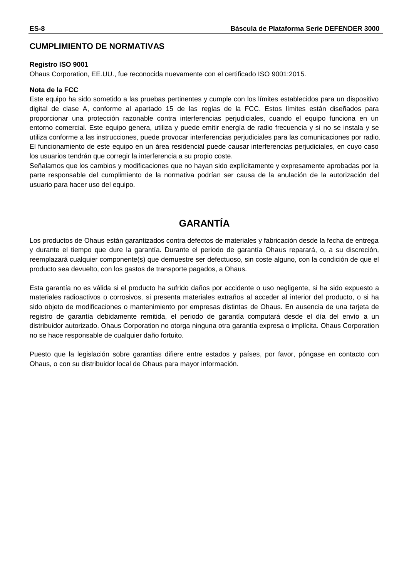#### **CUMPLIMIENTO DE NORMATIVAS**

#### **Registro ISO 9001**

Ohaus Corporation, EE.UU., fue reconocida nuevamente con el certificado ISO 9001:2015.

#### **Nota de la FCC**

Este equipo ha sido sometido a las pruebas pertinentes y cumple con los límites establecidos para un dispositivo digital de clase A, conforme al apartado 15 de las reglas de la FCC. Estos límites están diseñados para proporcionar una protección razonable contra interferencias perjudiciales, cuando el equipo funciona en un entorno comercial. Este equipo genera, utiliza y puede emitir energía de radio frecuencia y si no se instala y se utiliza conforme a las instrucciones, puede provocar interferencias perjudiciales para las comunicaciones por radio. El funcionamiento de este equipo en un área residencial puede causar interferencias perjudiciales, en cuyo caso los usuarios tendrán que corregir la interferencia a su propio coste.

Señalamos que los cambios y modificaciones que no hayan sido explícitamente y expresamente aprobadas por la parte responsable del cumplimiento de la normativa podrían ser causa de la anulación de la autorización del usuario para hacer uso del equipo.

# **GARANTÍA**

Los productos de Ohaus están garantizados contra defectos de materiales y fabricación desde la fecha de entrega y durante el tiempo que dure la garantía. Durante el periodo de garantía Ohaus reparará, o, a su discreción, reemplazará cualquier componente(s) que demuestre ser defectuoso, sin coste alguno, con la condición de que el producto sea devuelto, con los gastos de transporte pagados, a Ohaus.

Esta garantía no es válida si el producto ha sufrido daños por accidente o uso negligente, si ha sido expuesto a materiales radioactivos o corrosivos, si presenta materiales extraños al acceder al interior del producto, o si ha sido objeto de modificaciones o mantenimiento por empresas distintas de Ohaus. En ausencia de una tarjeta de registro de garantía debidamente remitida, el periodo de garantía computará desde el día del envío a un distribuidor autorizado. Ohaus Corporation no otorga ninguna otra garantía expresa o implícita. Ohaus Corporation no se hace responsable de cualquier daño fortuito.

Puesto que la legislación sobre garantías difiere entre estados y países, por favor, póngase en contacto con Ohaus, o con su distribuidor local de Ohaus para mayor información.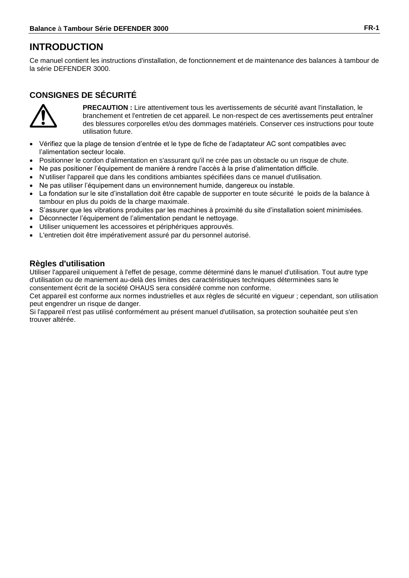# **INTRODUCTION**

Ce manuel contient les instructions d'installation, de fonctionnement et de maintenance des balances à tambour de la série DEFENDER 3000.

# **CONSIGNES DE SÉCURITÉ**



**PRECAUTION :** Lire attentivement tous les avertissements de sécurité avant l'installation, le branchement et l'entretien de cet appareil. Le non-respect de ces avertissements peut entraîner des blessures corporelles et/ou des dommages matériels. Conserver ces instructions pour toute utilisation future.

- Vérifiez que la plage de tension d'entrée et le type de fiche de l'adaptateur AC sont compatibles avec l'alimentation secteur locale.
- Positionner le cordon d'alimentation en s'assurant qu'il ne crée pas un obstacle ou un risque de chute.
- Ne pas positioner l'équipement de manière à rendre l'accès à la prise d'alimentation difficile.
- N'utiliser l'appareil que dans les conditions ambiantes spécifiées dans ce manuel d'utilisation.
- Ne pas utiliser l'équipement dans un environnement humide, dangereux ou instable.
- La fondation sur le site d'installation doit être capable de supporter en toute sécurité le poids de la balance à tambour en plus du poids de la charge maximale.
- S'assurer que les vibrations produites par les machines à proximité du site d'installation soient minimisées.
- Déconnecter l'équipement de l'alimentation pendant le nettoyage.
- Utiliser uniquement les accessoires et périphériques approuvés.
- L'entretien doit être impérativement assuré par du personnel autorisé.

## **Règles d'utilisation**

Utiliser l'appareil uniquement à l'effet de pesage, comme déterminé dans le manuel d'utilisation. Tout autre type d'utilisation ou de maniement au-delà des limites des caractéristiques techniques déterminées sans le consentement écrit de la société OHAUS sera considéré comme non conforme.

Cet appareil est conforme aux normes industrielles et aux règles de sécurité en vigueur ; cependant, son utilisation peut engendrer un risque de danger.

Si l'appareil n'est pas utilisé conformément au présent manuel d'utilisation, sa protection souhaitée peut s'en trouver altérée.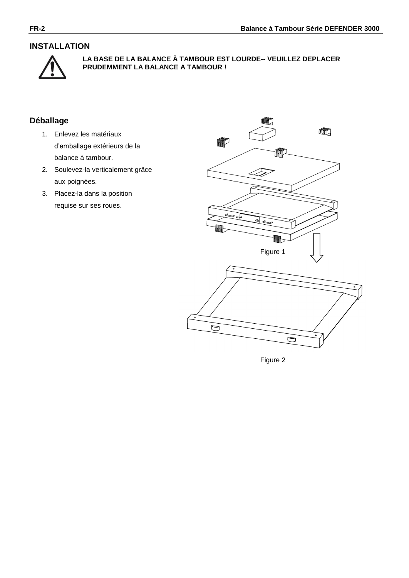## **INSTALLATION**



**LA BASE DE LA BALANCE À TAMBOUR EST LOURDE-- VEUILLEZ DEPLACER PRUDEMMENT LA BALANCE A TAMBOUR !**

# **Déballage**

- 1. Enlevez les matériaux d'emballage extérieurs de la balance à tambour.
- 2. Soulevez-la verticalement grâce aux poignées.
- 3. Placez-la dans la position requise sur ses roues.



Figure 2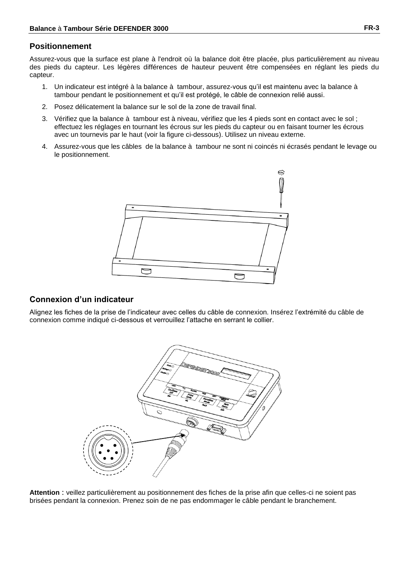#### **Positionnement**

Assurez-vous que la surface est plane à l'endroit où la balance doit être placée, plus particulièrement au niveau des pieds du capteur. Les légères différences de hauteur peuvent être compensées en réglant les pieds du capteur.

- 1. Un indicateur est intégré àla balance à tambour, assurez-vous qu'il est maintenu avec la balance à tambour pendant le positionnement et qu'il est protégé, le câble de connexion relié aussi.
- 2. Posez délicatement la balance sur le sol de la zone de travail final.
- 3. Vérifiez que la balance à tambour est à niveau, vérifiez que les 4 pieds sont en contact avec le sol ; effectuez les réglages en tournant les écrous sur les pieds du capteur ou en faisant tourner les écrous avec un tournevis par le haut (voir la figure ci-dessous). Utilisez un niveau externe.
- 4. Assurez-vous que les câbles de la balance à tambour ne sont ni coincés ni écrasés pendant le levage ou le positionnement.



# **Connexion d'un indicateur**

Alignez les fiches de la prise de l'indicateur avec celles du câble de connexion. Insérez l'extrémité du câble de connexion comme indiqué ci-dessous et verrouillez l'attache en serrant le collier.



**Attention** : veillez particulièrement au positionnement des fiches de la prise afin que celles-ci ne soient pas brisées pendant la connexion. Prenez soin de ne pas endommager le câble pendant le branchement.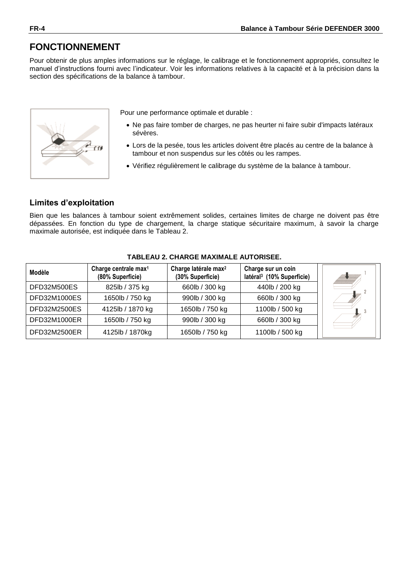# **FONCTIONNEMENT**

Pour obtenir de plus amples informations sur le réglage, le calibrage et le fonctionnement appropriés, consultez le manuel d'instructions fourni avec l'indicateur. Voir les informations relatives à la capacité et à la précision dans la section des spécifications de la balance à tambour.



Pour une performance optimale et durable :

- Ne pas faire tomber de charges, ne pas heurter ni faire subir d'impacts latéraux sévères.
- Lors de la pesée, tous les articles doivent être placés au centre de la balance à tambour et non suspendus sur les côtés ou les rampes.
- Vérifiez régulièrement le calibrage du système de la balance à tambour.

## **Limites d'exploitation**

Bien que les balances à tambour soient extrêmement solides, certaines limites de charge ne doivent pas être dépassées. En fonction du type de chargement, la charge statique sécuritaire maximum, à savoir la charge maximale autorisée, est indiquée dans le Tableau 2.

| Modèle              | Charge centrale max <sup>1</sup><br>(80% Superficie) | Charge latérale max <sup>2</sup><br>(30% Superficie) | Charge sur un coin<br>latéral <sup>3</sup> (10% Superficie) |  |
|---------------------|------------------------------------------------------|------------------------------------------------------|-------------------------------------------------------------|--|
| DFD32M500ES         | 825lb / 375 kg                                       | 660lb / 300 kg                                       | 440lb / 200 kg                                              |  |
| DFD32M1000ES        | 1650lb / 750 kg                                      | 990lb / 300 kg                                       | 660lb / 300 kg                                              |  |
| <b>DFD32M2500ES</b> | 4125lb / 1870 kg                                     | 1650lb / 750 kg                                      | 1100lb / 500 kg                                             |  |
| DFD32M1000ER        | 1650lb / 750 kg                                      | 990lb / 300 kg                                       | 660lb / 300 kg                                              |  |
| DFD32M2500ER        | 4125lb / 1870kg                                      | 1650lb / 750 kg                                      | 1100lb / 500 kg                                             |  |

#### **TABLEAU 2. CHARGE MAXIMALE AUTORISEE.**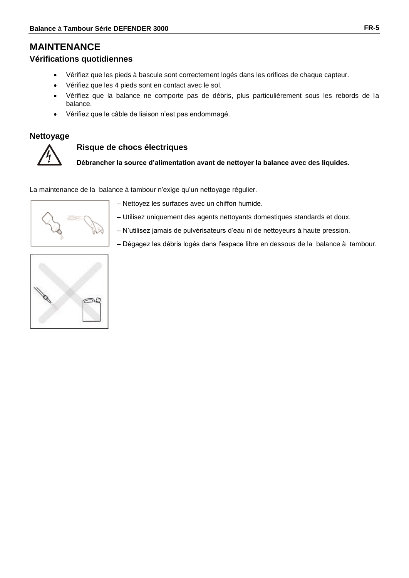# **MAINTENANCE**

#### **Vérifications quotidiennes**

- Vérifiez que les pieds à bascule sont correctement logés dans les orifices de chaque capteur.
- Vérifiez que les 4 pieds sont en contact avec le sol.
- Vérifiez que la balance ne comporte pas de débris, plus particulièrement sous les rebords de la balance.
- Vérifiez que le câble de liaison n'est pas endommagé.

#### **Nettoyage**



#### **Risque de chocs électriques**

**Débrancher la source d'alimentation avant de nettoyer la balance avec des liquides.**

La maintenance de la balance à tambour n'exige qu'un nettoyage régulier.



– Nettoyez les surfaces avec un chiffon humide.

- Utilisez uniquement des agents nettoyants domestiques standards et doux.
- N'utilisez jamais de pulvérisateurs d'eau ni de nettoyeurs à haute pression.
- Dégagez les débris logés dans l'espace libre en dessous de la balance à tambour.

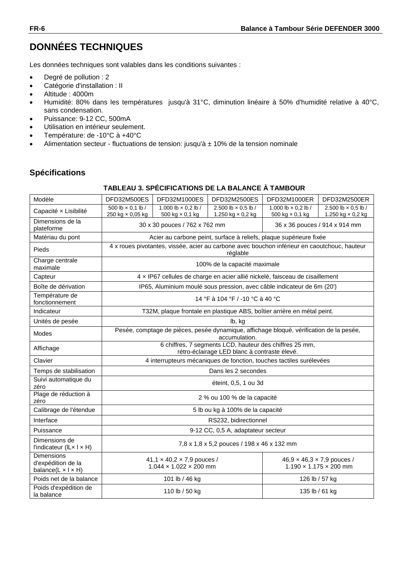# **DONNÉES TECHNIQUES**

Les données techniques sont valables dans les conditions suivantes :

- Degré de pollution : 2
- Catégorie d'installation : II
- Altitude : 4000m
- Humidité: 80% dans les températures jusqu'à 31°C, diminution linéaire à 50% d'humidité relative à 40°C, sans condensation.
- Puissance: 9-12 CC, 500mA
- Utilisation en intérieur seulement.
- Température: de -10°C à +40°C
- Alimentation secteur fluctuations de tension: jusqu'à  $\pm$  10% de la tension nominale

## **Spécifications**

#### **TABLEAU 3. SPÉCIFICATIONS DE LA BALANCE À TAMBOUR**

| Modèle                                                                      | DFD32M500ES                                                                                                                                                    | DFD32M1000ES                                                                                             | DFD32M2500ES                                                                                             | DFD32M1000ER                                         | DFD32M2500ER                                    |  |
|-----------------------------------------------------------------------------|----------------------------------------------------------------------------------------------------------------------------------------------------------------|----------------------------------------------------------------------------------------------------------|----------------------------------------------------------------------------------------------------------|------------------------------------------------------|-------------------------------------------------|--|
| Capacité x Lisibilité                                                       | 500 lb $\times$ 0.1 lb /<br>250 kg × 0,05 kg                                                                                                                   | 1.000 lb $\times$ 0.2 lb /<br>500 kg $\times$ 0,1 kg                                                     | 2.500 lb $\times$ 0.5 lb /<br>1.250 kg $\times$ 0,2 kg                                                   | 1.000 lb $\times$ 0.2 lb /<br>500 kg $\times$ 0,1 kg | 2.500 lb $\times$ 0.5 lb /<br>1.250 kg × 0,2 kg |  |
| Dimensions de la<br>plateforme                                              |                                                                                                                                                                | 30 x 30 pouces / 762 x 762 mm                                                                            |                                                                                                          |                                                      | 36 x 36 pouces / 914 x 914 mm                   |  |
| Matériau du pont                                                            |                                                                                                                                                                |                                                                                                          | Acier au carbone peint, surface à reliefs, plaque supérieure fixée                                       |                                                      |                                                 |  |
| Pieds                                                                       |                                                                                                                                                                |                                                                                                          | 4 x roues pivotantes, vissée, acier au carbone avec bouchon inférieur en caoutchouc, hauteur<br>réglable |                                                      |                                                 |  |
| Charge centrale<br>maximale                                                 |                                                                                                                                                                |                                                                                                          | 100% de la capacité maximale                                                                             |                                                      |                                                 |  |
| Capteur                                                                     |                                                                                                                                                                |                                                                                                          | 4 x IP67 cellules de charge en acier allié nickelé, faisceau de cisaillement                             |                                                      |                                                 |  |
| Boîte de dérivation                                                         |                                                                                                                                                                |                                                                                                          | IP65, Aluminium moulé sous pression, avec câble indicateur de 6m (20')                                   |                                                      |                                                 |  |
| Température de<br>fonctionnement                                            |                                                                                                                                                                |                                                                                                          | 14 °F à 104 °F / -10 °C à 40 °C                                                                          |                                                      |                                                 |  |
| Indicateur                                                                  |                                                                                                                                                                |                                                                                                          | T32M, plaque frontale en plastique ABS, boîtier arrière en métal peint.                                  |                                                      |                                                 |  |
| Unités de pesée                                                             |                                                                                                                                                                |                                                                                                          | lb, kg                                                                                                   |                                                      |                                                 |  |
| Modes                                                                       |                                                                                                                                                                | Pesée, comptage de pièces, pesée dynamique, affichage bloqué, vérification de la pesée,<br>accumulation. |                                                                                                          |                                                      |                                                 |  |
| Affichage                                                                   |                                                                                                                                                                | 6 chiffres, 7 segments LCD, hauteur des chiffres 25 mm,<br>rétro-éclairage LED blanc à contraste élevé.  |                                                                                                          |                                                      |                                                 |  |
| Clavier                                                                     |                                                                                                                                                                |                                                                                                          | 4 interrupteurs mécaniques de fonction, touches tactiles surélevées                                      |                                                      |                                                 |  |
| Temps de stabilisation                                                      |                                                                                                                                                                |                                                                                                          | Dans les 2 secondes                                                                                      |                                                      |                                                 |  |
| Suivi automatique du<br>zéro                                                |                                                                                                                                                                |                                                                                                          | éteint, 0,5, 1 ou 3d                                                                                     |                                                      |                                                 |  |
| Plage de réduction à<br>zéro                                                |                                                                                                                                                                |                                                                                                          | 2 % ou 100 % de la capacité                                                                              |                                                      |                                                 |  |
| Calibrage de l'étendue                                                      |                                                                                                                                                                |                                                                                                          | 5 lb ou kg à 100% de la capacité                                                                         |                                                      |                                                 |  |
| Interface                                                                   |                                                                                                                                                                |                                                                                                          | RS232, bidirectionnel                                                                                    |                                                      |                                                 |  |
| Puissance                                                                   |                                                                                                                                                                |                                                                                                          | 9-12 CC, 0,5 A, adaptateur secteur                                                                       |                                                      |                                                 |  |
| Dimensions de<br>l'indicateur (ILx I x H)                                   | 7,8 x 1,8 x 5,2 pouces / 198 x 46 x 132 mm                                                                                                                     |                                                                                                          |                                                                                                          |                                                      |                                                 |  |
| <b>Dimensions</b><br>d'expédition de la<br>balance( $L \times I \times H$ ) | 41,1 $\times$ 40,2 $\times$ 7,9 pouces /<br>$46.9 \times 46.3 \times 7.9$ pouces /<br>$1.044 \times 1.022 \times 200$ mm<br>$1.190 \times 1.175 \times 200$ mm |                                                                                                          |                                                                                                          |                                                      |                                                 |  |
| Poids net de la balance                                                     |                                                                                                                                                                | 101 lb / 46 kg                                                                                           |                                                                                                          |                                                      | 126 lb / 57 kg                                  |  |
| Poids d'expédition de<br>la balance                                         |                                                                                                                                                                | 110 lb / 50 kg                                                                                           |                                                                                                          |                                                      | 135 lb / 61 kg                                  |  |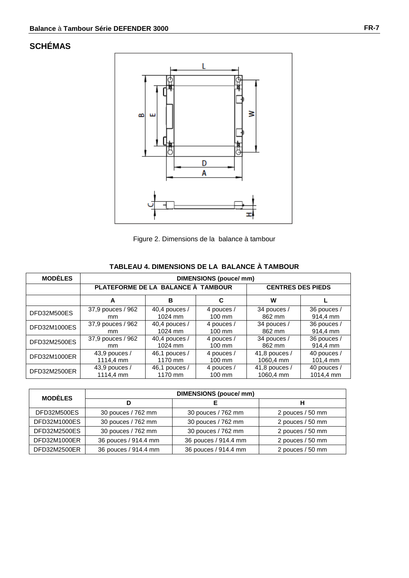# **SCHÉMAS**



| <b>MODÈLES</b> | <b>DIMENSIONS (pouce/mm)</b>       |                 |                  |                          |             |  |
|----------------|------------------------------------|-----------------|------------------|--------------------------|-------------|--|
|                | PLATEFORME DE LA BALANCE À TAMBOUR |                 |                  | <b>CENTRES DES PIEDS</b> |             |  |
|                | A                                  | в               | C                | w                        |             |  |
| DFD32M500ES    | 37,9 pouces / 962                  | 40,4 pouces $/$ | 4 pouces /       | 34 pouces /              | 36 pouces / |  |
|                | mm.                                | 1024 mm         | $100 \text{ mm}$ | 862 mm                   | 914,4 mm    |  |
| DFD32M1000ES   | 37,9 pouces / 962                  | 40,4 pouces $/$ | 4 pouces /       | 34 pouces /              | 36 pouces / |  |
|                | mm                                 | 1024 mm         | $100 \text{ mm}$ | 862 mm                   | 914.4 mm    |  |
| DFD32M2500ES   | 37,9 pouces / 962                  | 40,4 pouces /   | 4 pouces /       | 34 pouces /              | 36 pouces / |  |
|                | mm                                 | 1024 mm         | $100 \text{ mm}$ | 862 mm                   | 914.4 mm    |  |
| DFD32M1000ER   | $43,9$ pouces /                    | 46,1 pouces /   | 4 pouces /       | 41,8 pouces $/$          | 40 pouces / |  |
|                | 1114,4 mm                          | 1170 mm         | $100 \text{ mm}$ | 1060.4 mm                | 101,4 mm    |  |
| DFD32M2500ER   | 43,9 pouces /                      | 46,1 pouces /   | 4 pouces /       | 41,8 pouces $/$          | 40 pouces / |  |
|                | 1114,4 mm                          | 1170 mm         | 100 mm           | 1060.4 mm                | 1014,4 mm   |  |

#### **TABLEAU 4. DIMENSIONS DE LA BALANCE À TAMBOUR**

| <b>MODÈLES</b> | <b>DIMENSIONS (pouce/mm)</b> |                      |                  |
|----------------|------------------------------|----------------------|------------------|
|                |                              |                      | н                |
| DFD32M500ES    | 30 pouces / 762 mm           | 30 pouces / 762 mm   | 2 pouces / 50 mm |
| DFD32M1000ES   | 30 pouces / 762 mm           | 30 pouces / 762 mm   | 2 pouces / 50 mm |
| DFD32M2500ES   | 30 pouces / 762 mm           | 30 pouces / 762 mm   | 2 pouces / 50 mm |
| DFD32M1000ER   | 36 pouces / 914.4 mm         | 36 pouces / 914.4 mm | 2 pouces / 50 mm |
| DFD32M2500ER   | 36 pouces / 914.4 mm         | 36 pouces / 914.4 mm | 2 pouces / 50 mm |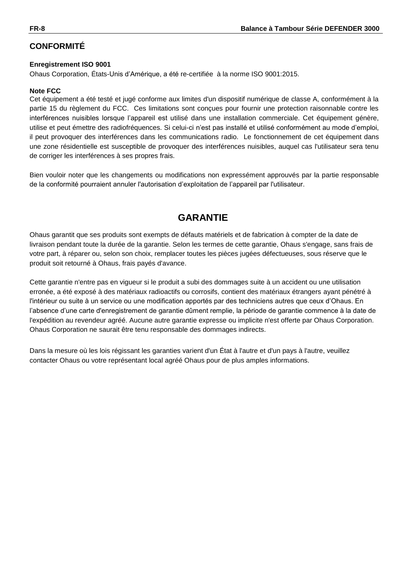# **CONFORMITÉ**

#### **Enregistrement ISO 9001**

Ohaus Corporation, États-Unis d'Amérique, a été re-certifiée à la norme ISO 9001:2015.

#### **Note FCC**

Cet équipement a été testé et jugé conforme aux limites d'un dispositif numérique de classe A, conformément à la partie 15 du règlement du FCC. Ces limitations sont conçues pour fournir une protection raisonnable contre les interférences nuisibles lorsque l'appareil est utilisé dans une installation commerciale. Cet équipement génère, utilise et peut émettre des radiofréquences. Si celui-ci n'est pas installé et utilisé conformément au mode d'emploi, il peut provoquer des interférences dans les communications radio. Le fonctionnement de cet équipement dans une zone résidentielle est susceptible de provoquer des interférences nuisibles, auquel cas l'utilisateur sera tenu de corriger les interférences à ses propres frais.

Bien vouloir noter que les changements ou modifications non expressément approuvés par la partie responsable de la conformité pourraient annuler l'autorisation d'exploitation de l'appareil par l'utilisateur.

# **GARANTIE**

Ohaus garantit que ses produits sont exempts de défauts matériels et de fabrication à compter de la date de livraison pendant toute la durée de la garantie. Selon les termes de cette garantie, Ohaus s'engage, sans frais de votre part, à réparer ou, selon son choix, remplacer toutes les pièces jugées défectueuses, sous réserve que le produit soit retournéà Ohaus, frais payés d'avance.

Cette garantie n'entre pas en vigueur si le produit a subi des dommages suite à un accident ou une utilisation erronée, a été exposé à des matériaux radioactifs ou corrosifs, contient des matériaux étrangers ayant pénétré à l'intérieur ou suite à un service ou une modification apportés par des techniciens autres que ceux d'Ohaus. En l'absence d'une carte d'enregistrement de garantie dûment remplie, la période de garantie commence à la date de l'expédition au revendeur agréé. Aucune autre garantie expresse ou implicite n'est offerte par Ohaus Corporation. Ohaus Corporation ne saurait être tenu responsable des dommages indirects.

Dans la mesure où les lois régissant les garanties varient d'un État à l'autre et d'un pays à l'autre, veuillez contacter Ohaus ou votre représentant local agréé Ohaus pour de plus amples informations.